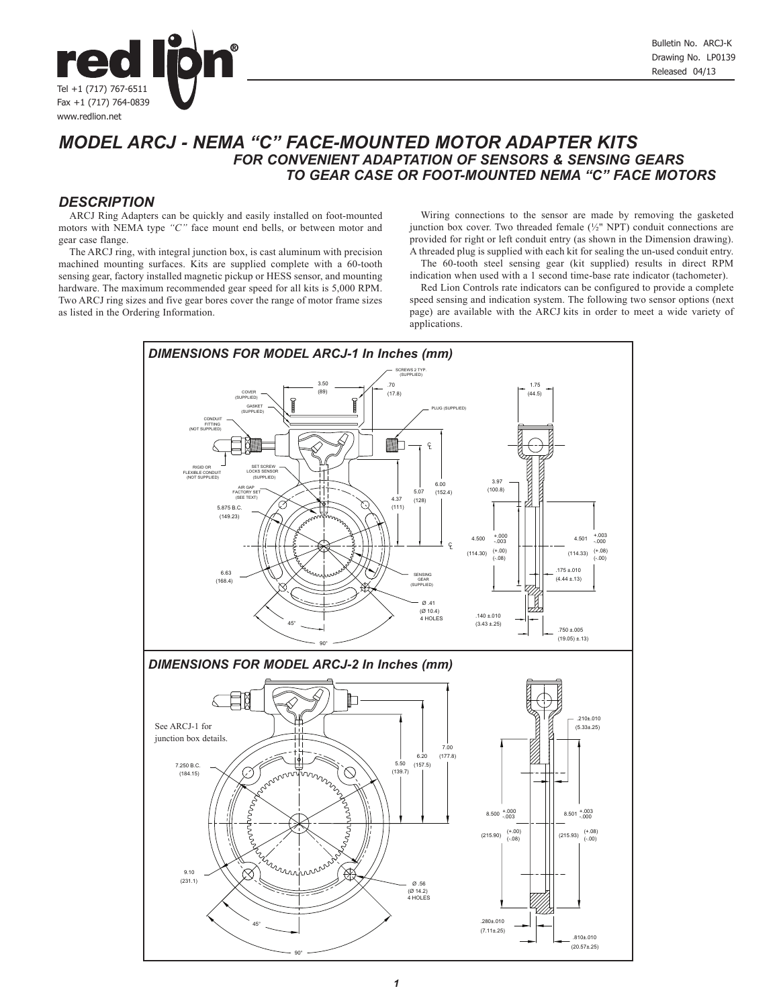

# *MODEL ARCJ - NEMA "C" FACE-MOUNTED MOTOR ADAPTER KITS FOR CONVENIENT ADAPTATION OF SENSORS & SENSING GEARS TO GEAR CASE OR FOOT-MOUNTED NEMA "C" FACE MOTORS*

#### *DESCRIPTION*

ARCJ Ring Adapters can be quickly and easily installed on foot-mounted motors with NEMA type *"C"* face mount end bells, or between motor and gear case flange.

The ARCJ ring, with integral junction box, is cast aluminum with precision machined mounting surfaces. Kits are supplied complete with a 60-tooth sensing gear, factory installed magnetic pickup or HESS sensor, and mounting hardware. The maximum recommended gear speed for all kits is 5,000 RPM. Two ARCJ ring sizes and five gear bores cover the range of motor frame sizes as listed in the Ordering Information.

Wiring connections to the sensor are made by removing the gasketed junction box cover. Two threaded female (½" NPT) conduit connections are provided for right or left conduit entry (as shown in the Dimension drawing). A threaded plug is supplied with each kit for sealing the un-used conduit entry. The 60-tooth steel sensing gear (kit supplied) results in direct RPM

indication when used with a 1 second time-base rate indicator (tachometer). Red Lion Controls rate indicators can be configured to provide a complete

speed sensing and indication system. The following two sensor options (next page) are available with the ARCJ kits in order to meet a wide variety of applications.